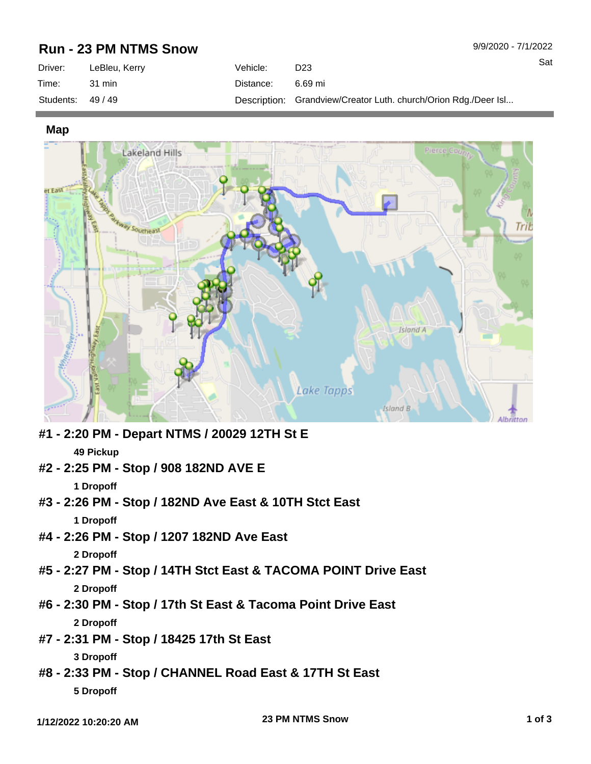## **Run - 23 PM NTMS Snow**

| Driver:           | LeBleu, Kerry | Vehicle:  | D <sub>23</sub>                                                 |
|-------------------|---------------|-----------|-----------------------------------------------------------------|
| Time:             | 31 min        | Distance: | 6.69 mi                                                         |
| Students: $49/49$ |               |           | Description: Grandview/Creator Luth. church/Orion Rdg./Deer Isl |

**Map**



**#1 - 2:20 PM - Depart NTMS / 20029 12TH St E 49 Pickup #2 - 2:25 PM - Stop / 908 182ND AVE E**

**1 Dropoff**

- **#3 2:26 PM Stop / 182ND Ave East & 10TH Stct East 1 Dropoff**
- **#4 2:26 PM Stop / 1207 182ND Ave East**

**2 Dropoff**

- **#5 2:27 PM Stop / 14TH Stct East & TACOMA POINT Drive East 2 Dropoff**
- **#6 2:30 PM Stop / 17th St East & Tacoma Point Drive East 2 Dropoff**
- **#7 2:31 PM Stop / 18425 17th St East**

**3 Dropoff**

**#8 - 2:33 PM - Stop / CHANNEL Road East & 17TH St East 5 Dropoff**